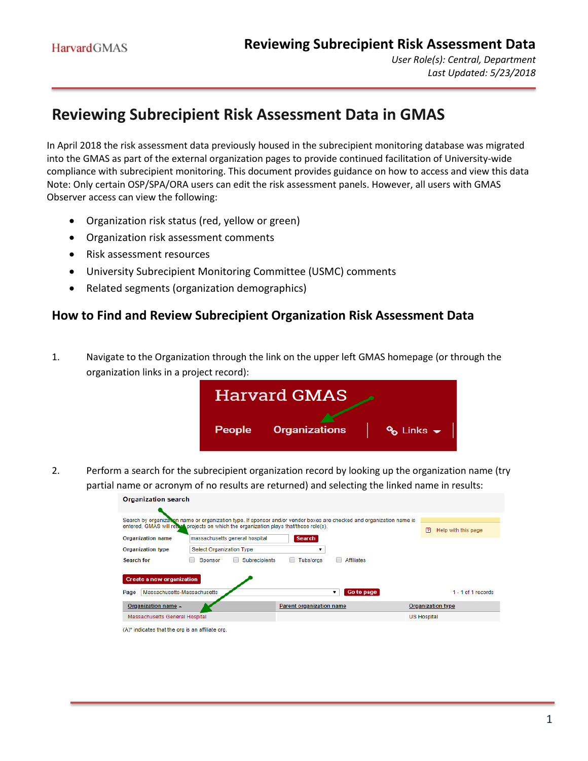## **Reviewing Subrecipient Risk Assessment Data in GMAS**

In April 2018 the risk assessment data previously housed in the subrecipient monitoring database was migrated into the GMAS as part of the external organization pages to provide continued facilitation of University-wide compliance with subrecipient monitoring. This document provides guidance on how to access and view this data Note: Only certain OSP/SPA/ORA users can edit the risk assessment panels. However, all users with GMAS Observer access can view the following:

- Organization risk status (red, yellow or green)
- Organization risk assessment comments
- Risk assessment resources

 $\mathbf{a}$  and  $\mathbf{a}$  and  $\mathbf{a}$  and  $\mathbf{a}$ 

- University Subrecipient Monitoring Committee (USMC) comments
- Related segments (organization demographics)

## **How to Find and Review Subrecipient Organization Risk Assessment Data**

1. Navigate to the Organization through the link on the upper left GMAS homepage (or through the organization links in a project record):



2. Perform a search for the subrecipient organization record by looking up the organization name (try partial name or acronym of no results are returned) and selecting the linked name in results:

| Organization search                                                                                                                                                                                             |                                |                          |                          |  |  |  |  |
|-----------------------------------------------------------------------------------------------------------------------------------------------------------------------------------------------------------------|--------------------------------|--------------------------|--------------------------|--|--|--|--|
| Search by organization name or organization type. If sponsor and/or vendor boxes are checked and organization name is<br>entered. GMAS will return projects on which the organization plays that/those role(s). | Help with this page<br>n       |                          |                          |  |  |  |  |
| <b>Organization name</b>                                                                                                                                                                                        | massachusetts general hospital | <b>Search</b>            |                          |  |  |  |  |
| <b>Organization type</b>                                                                                                                                                                                        |                                |                          |                          |  |  |  |  |
| Affiliates<br>Subrecipients<br>Tubs/oras<br>Search for<br>Sponsor                                                                                                                                               |                                |                          |                          |  |  |  |  |
| <b>Create a new organization</b><br><b>Go to page</b><br>Massachusetts-Massachusetts<br>$1 - 1$ of 1 records<br>Page<br>▼                                                                                       |                                |                          |                          |  |  |  |  |
| Organization name -                                                                                                                                                                                             |                                | Parent organization name | <b>Organization type</b> |  |  |  |  |
| Massachusetts General Hospital                                                                                                                                                                                  |                                |                          | <b>US Hospital</b>       |  |  |  |  |
| (A)* indicates that the org is an affiliate org.                                                                                                                                                                |                                |                          |                          |  |  |  |  |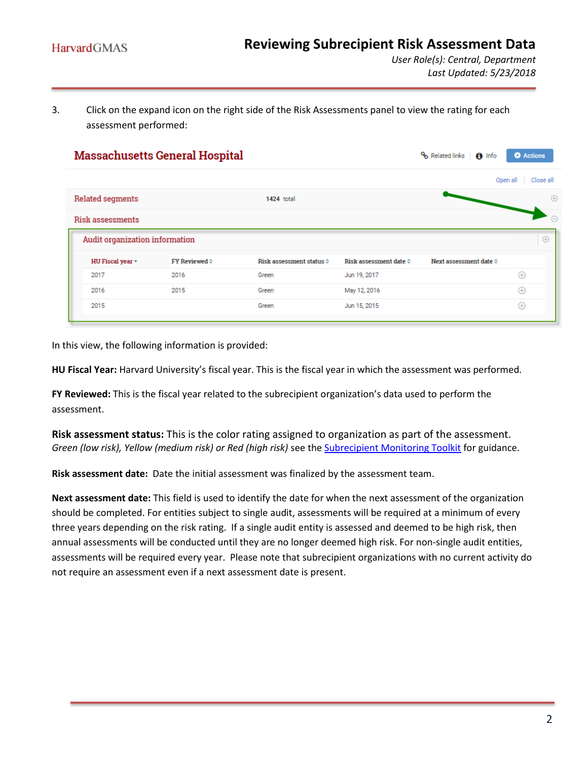3. Click on the expand icon on the right side of the Risk Assessments panel to view the rating for each assessment performed:

|                                | <b>Massachusetts General Hospital</b> |                          |                                 | <sup>o</sup> Related links<br>$\theta$ Info | <b>C</b> Actions      |
|--------------------------------|---------------------------------------|--------------------------|---------------------------------|---------------------------------------------|-----------------------|
|                                |                                       |                          |                                 |                                             | Open all<br>Close all |
| <b>Related segments</b>        |                                       | 1424 total               |                                 |                                             |                       |
| <b>Risk assessments</b>        |                                       |                          |                                 |                                             |                       |
| Audit organization information |                                       |                          |                                 |                                             |                       |
|                                |                                       |                          |                                 |                                             |                       |
| HU Fiscal year *               | <b>FY Reviewed ©</b>                  | Risk assessment status © | Risk assessment date $\diamond$ | Next assessment date $\diamond$             |                       |
| 2017                           | 2016                                  | Green                    | Jun 19, 2017                    |                                             | $^{(+)}$              |
| 2016                           | 2015                                  | Green                    | May 12, 2016                    |                                             | $^{(+)}$              |

In this view, the following information is provided:

**HU Fiscal Year:** Harvard University's fiscal year. This is the fiscal year in which the assessment was performed.

**FY Reviewed:** This is the fiscal year related to the subrecipient organization's data used to perform the assessment.

**Risk assessment status:** This is the color rating assigned to organization as part of the assessment. *Green (low risk), Yellow (medium risk) or Red (high risk)* see the [Subrecipient Monitoring Toolkit](https://osp.finance.harvard.edu/subrecipient-monitoring-toolkit) for guidance.

**Risk assessment date:** Date the initial assessment was finalized by the assessment team.

**Next assessment date:** This field is used to identify the date for when the next assessment of the organization should be completed. For entities subject to single audit, assessments will be required at a minimum of every three years depending on the risk rating. If a single audit entity is assessed and deemed to be high risk, then annual assessments will be conducted until they are no longer deemed high risk. For non-single audit entities, assessments will be required every year. Please note that subrecipient organizations with no current activity do not require an assessment even if a next assessment date is present.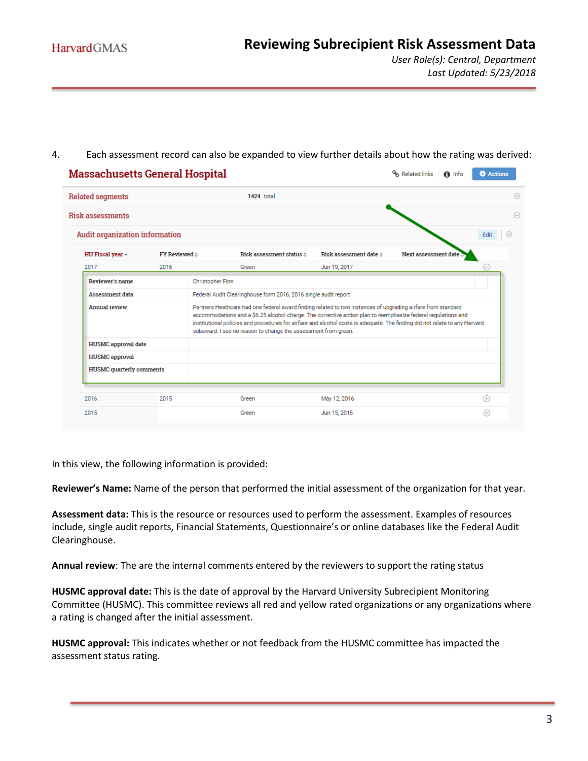*User Role(s): Central, Department Last Updated: 5/23/2018*

## 4. Each assessment record can also be expanded to view further details about how the rating was derived:

| <b>Massachusetts General Hospital</b> |                        |                                                                 |                                                                                                                                                                                                                                                                                                                                                             | Related links<br>$\bigcap$ Info | <b>O</b> Actions |  |
|---------------------------------------|------------------------|-----------------------------------------------------------------|-------------------------------------------------------------------------------------------------------------------------------------------------------------------------------------------------------------------------------------------------------------------------------------------------------------------------------------------------------------|---------------------------------|------------------|--|
| <b>Related segments</b>               |                        | 1424 total                                                      |                                                                                                                                                                                                                                                                                                                                                             |                                 |                  |  |
| <b>Risk assessments</b>               |                        |                                                                 |                                                                                                                                                                                                                                                                                                                                                             |                                 |                  |  |
| <b>Audit organization information</b> |                        |                                                                 |                                                                                                                                                                                                                                                                                                                                                             |                                 | Edit             |  |
| HU Fiscal year -                      | FY Reviewed $\diamond$ | Risk assessment status o                                        | Risk assessment date $\diamond$                                                                                                                                                                                                                                                                                                                             | Next assessment date            |                  |  |
| 2017                                  | 2016                   | Green                                                           | Jun 19, 2017                                                                                                                                                                                                                                                                                                                                                |                                 |                  |  |
| <b>Reviewer's name</b>                |                        | <b>Christopher Finn</b>                                         |                                                                                                                                                                                                                                                                                                                                                             |                                 |                  |  |
| <b>Assessment data</b>                |                        | Federal Audit Clearinghouse form 2016, 2016 single audit report |                                                                                                                                                                                                                                                                                                                                                             |                                 |                  |  |
| <b>Annual review</b>                  |                        | subaward. I see no reason to change the assessment from green.  | Partners Heathcare had one federal award finding related to two instances of upgrading airfare from standard<br>accommodations and a \$6.25 alcohol charge. The corrective action plan to reemphasize federal regulations and<br>institutional policies and procedures for airfare and alcohol costs is adequate. The finding did not relate to any Harvard |                                 |                  |  |
| <b>HUSMC</b> approval date            |                        |                                                                 |                                                                                                                                                                                                                                                                                                                                                             |                                 |                  |  |
|                                       |                        |                                                                 |                                                                                                                                                                                                                                                                                                                                                             |                                 |                  |  |
| <b>HUSMC</b> approval                 |                        |                                                                 |                                                                                                                                                                                                                                                                                                                                                             |                                 |                  |  |
| <b>HUSMC</b> quarterly comments       |                        |                                                                 |                                                                                                                                                                                                                                                                                                                                                             |                                 |                  |  |
| 2016                                  | 2015                   | Green                                                           | May 12, 2016                                                                                                                                                                                                                                                                                                                                                |                                 | $(+)$            |  |

In this view, the following information is provided:

**Reviewer's Name:** Name of the person that performed the initial assessment of the organization for that year.

**Assessment data:** This is the resource or resources used to perform the assessment. Examples of resources include, single audit reports, Financial Statements, Questionnaire's or online databases like the Federal Audit Clearinghouse.

**Annual review**: The are the internal comments entered by the reviewers to support the rating status

**HUSMC approval date:** This is the date of approval by the Harvard University Subrecipient Monitoring Committee (HUSMC). This committee reviews all red and yellow rated organizations or any organizations where a rating is changed after the initial assessment.

**HUSMC approval:** This indicates whether or not feedback from the HUSMC committee has impacted the assessment status rating.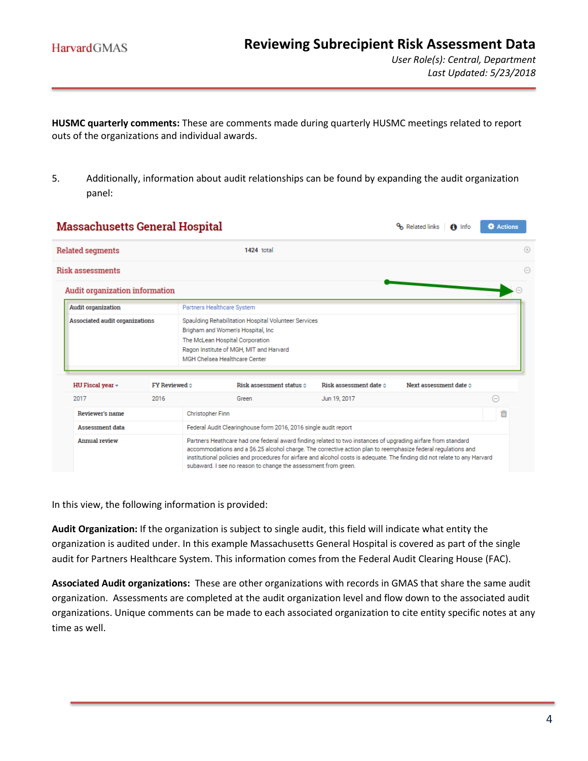**HUSMC quarterly comments:** These are comments made during quarterly HUSMC meetings related to report outs of the organizations and individual awards.

5. Additionally, information about audit relationships can be found by expanding the audit organization panel:

|  | <b>Massachusetts General Hospital</b>          |                                |                                                                                                                                                                                                                                                                                                                                                                                                                               |                                                 |                                 | $f$ Info    | <b>O</b> Actions  |  |
|--|------------------------------------------------|--------------------------------|-------------------------------------------------------------------------------------------------------------------------------------------------------------------------------------------------------------------------------------------------------------------------------------------------------------------------------------------------------------------------------------------------------------------------------|-------------------------------------------------|---------------------------------|-------------|-------------------|--|
|  | <b>Related segments</b>                        |                                | 1424 total                                                                                                                                                                                                                                                                                                                                                                                                                    |                                                 |                                 | $\bigoplus$ |                   |  |
|  | <b>Risk assessments</b>                        |                                |                                                                                                                                                                                                                                                                                                                                                                                                                               |                                                 |                                 |             | $\left( -\right)$ |  |
|  | Audit organization information                 |                                |                                                                                                                                                                                                                                                                                                                                                                                                                               |                                                 |                                 |             |                   |  |
|  | <b>Audit organization</b>                      |                                | Partners Healthcare System                                                                                                                                                                                                                                                                                                                                                                                                    |                                                 |                                 |             |                   |  |
|  | Associated audit organizations                 |                                | Spaulding Rehabilitation Hospital Volunteer Services<br>Brigham and Women's Hospital, Inc.<br>The McLean Hospital Corporation<br>Ragon Institute of MGH, MIT and Harvard<br>MGH Chelsea Healthcare Center                                                                                                                                                                                                                     |                                                 | Next assessment date $\diamond$ |             |                   |  |
|  | HU Fiscal year -<br>2017                       | FY Reviewed $\diamond$<br>2016 | Risk assessment status o<br>Green                                                                                                                                                                                                                                                                                                                                                                                             | Risk assessment date $\diamond$<br>Jun 19, 2017 |                                 |             | $(-)$             |  |
|  | Reviewer's name                                |                                | <b>Christopher Finn</b>                                                                                                                                                                                                                                                                                                                                                                                                       |                                                 |                                 |             |                   |  |
|  | <b>Assessment data</b><br><b>Annual review</b> |                                | Federal Audit Clearinghouse form 2016, 2016 single audit report                                                                                                                                                                                                                                                                                                                                                               |                                                 |                                 |             |                   |  |
|  |                                                |                                | Partners Heathcare had one federal award finding related to two instances of upgrading airfare from standard<br>accommodations and a \$6.25 alcohol charge. The corrective action plan to reemphasize federal regulations and<br>institutional policies and procedures for airfare and alcohol costs is adequate. The finding did not relate to any Harvard<br>subaward. I see no reason to change the assessment from green. |                                                 |                                 |             |                   |  |

In this view, the following information is provided:

**Audit Organization:** If the organization is subject to single audit, this field will indicate what entity the organization is audited under. In this example Massachusetts General Hospital is covered as part of the single audit for Partners Healthcare System. This information comes from the Federal Audit Clearing House (FAC).

**Associated Audit organizations:** These are other organizations with records in GMAS that share the same audit organization. Assessments are completed at the audit organization level and flow down to the associated audit organizations. Unique comments can be made to each associated organization to cite entity specific notes at any time as well.